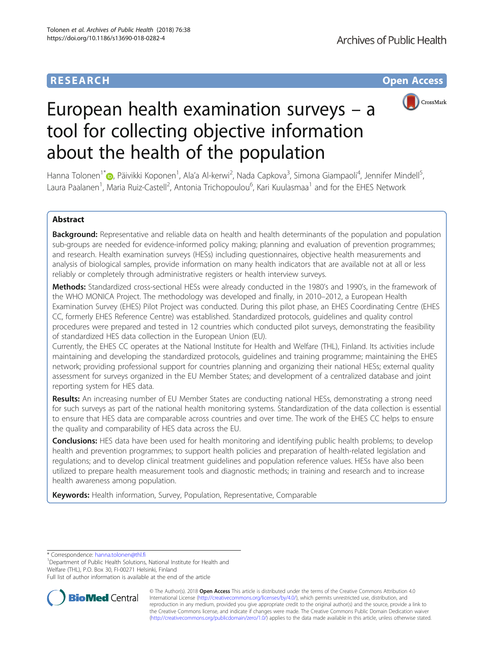# **RESEARCH CHE Open Access**



# European health examination surveys – a tool for collecting objective information about the health of the population

Hanna Tolonen<sup>1\*</sup>�[,](http://orcid.org/0000-0003-3121-4303) Päivikki Koponen<sup>1</sup>, Ala'a Al-kerwi<sup>2</sup>, Nada Capkova<sup>3</sup>, Simona Giampaoli<sup>4</sup>, Jennifer Mindell<sup>5</sup> , Laura Paalanen<sup>1</sup>, Maria Ruiz-Castell<sup>2</sup>, Antonia Trichopoulou<sup>6</sup>, Kari Kuulasmaa<sup>1</sup> and for the EHES Network

# Abstract

Background: Representative and reliable data on health and health determinants of the population and population sub-groups are needed for evidence-informed policy making; planning and evaluation of prevention programmes; and research. Health examination surveys (HESs) including questionnaires, objective health measurements and analysis of biological samples, provide information on many health indicators that are available not at all or less reliably or completely through administrative registers or health interview surveys.

Methods: Standardized cross-sectional HESs were already conducted in the 1980's and 1990's, in the framework of the WHO MONICA Project. The methodology was developed and finally, in 2010–2012, a European Health Examination Survey (EHES) Pilot Project was conducted. During this pilot phase, an EHES Coordinating Centre (EHES CC, formerly EHES Reference Centre) was established. Standardized protocols, guidelines and quality control procedures were prepared and tested in 12 countries which conducted pilot surveys, demonstrating the feasibility of standardized HES data collection in the European Union (EU).

Currently, the EHES CC operates at the National Institute for Health and Welfare (THL), Finland. Its activities include maintaining and developing the standardized protocols, guidelines and training programme; maintaining the EHES network; providing professional support for countries planning and organizing their national HESs; external quality assessment for surveys organized in the EU Member States; and development of a centralized database and joint reporting system for HES data.

**Results:** An increasing number of EU Member States are conducting national HESs, demonstrating a strong need for such surveys as part of the national health monitoring systems. Standardization of the data collection is essential to ensure that HES data are comparable across countries and over time. The work of the EHES CC helps to ensure the quality and comparability of HES data across the EU.

**Conclusions:** HES data have been used for health monitoring and identifying public health problems; to develop health and prevention programmes; to support health policies and preparation of health-related legislation and regulations; and to develop clinical treatment guidelines and population reference values. HESs have also been utilized to prepare health measurement tools and diagnostic methods; in training and research and to increase health awareness among population.

Keywords: Health information, Survey, Population, Representative, Comparable

\* Correspondence: [hanna.tolonen@thl.fi](mailto:hanna.tolonen@thl.fi) <sup>1</sup>

<sup>1</sup>Department of Public Health Solutions, National Institute for Health and Welfare (THL), P.O. Box 30, FI-00271 Helsinki, Finland

Full list of author information is available at the end of the article



© The Author(s). 2018 Open Access This article is distributed under the terms of the Creative Commons Attribution 4.0 International License [\(http://creativecommons.org/licenses/by/4.0/](http://creativecommons.org/licenses/by/4.0/)), which permits unrestricted use, distribution, and reproduction in any medium, provided you give appropriate credit to the original author(s) and the source, provide a link to the Creative Commons license, and indicate if changes were made. The Creative Commons Public Domain Dedication waiver [\(http://creativecommons.org/publicdomain/zero/1.0/](http://creativecommons.org/publicdomain/zero/1.0/)) applies to the data made available in this article, unless otherwise stated.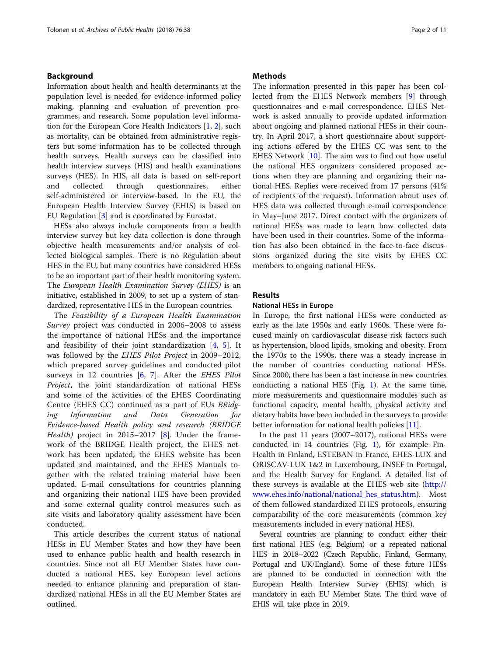#### Background

Information about health and health determinants at the population level is needed for evidence-informed policy making, planning and evaluation of prevention programmes, and research. Some population level information for the European Core Health Indicators [[1](#page-9-0), [2](#page-9-0)], such as mortality, can be obtained from administrative registers but some information has to be collected through health surveys. Health surveys can be classified into health interview surveys (HIS) and health examinations surveys (HES). In HIS, all data is based on self-report and collected through questionnaires, either self-administered or interview-based. In the EU, the European Health Interview Survey (EHIS) is based on EU Regulation [\[3\]](#page-9-0) and is coordinated by Eurostat.

HESs also always include components from a health interview survey but key data collection is done through objective health measurements and/or analysis of collected biological samples. There is no Regulation about HES in the EU, but many countries have considered HESs to be an important part of their health monitoring system. The European Health Examination Survey (EHES) is an initiative, established in 2009, to set up a system of standardized, representative HES in the European countries.

The Feasibility of a European Health Examination Survey project was conducted in 2006–2008 to assess the importance of national HESs and the importance and feasibility of their joint standardization [\[4](#page-9-0), [5](#page-9-0)]. It was followed by the EHES Pilot Project in 2009–2012, which prepared survey guidelines and conducted pilot surveys in 12 countries  $[6, 7]$  $[6, 7]$  $[6, 7]$  $[6, 7]$  $[6, 7]$ . After the *EHES Pilot* Project, the joint standardization of national HESs and some of the activities of the EHES Coordinating Centre (EHES CC) continued as a part of EUs BRidging Information and Data Generation for Evidence-based Health policy and research (BRIDGE *Health*) project in 2015–2017 [[8\]](#page-9-0). Under the framework of the BRIDGE Health project, the EHES network has been updated; the EHES website has been updated and maintained, and the EHES Manuals together with the related training material have been updated. E-mail consultations for countries planning and organizing their national HES have been provided and some external quality control measures such as site visits and laboratory quality assessment have been conducted.

This article describes the current status of national HESs in EU Member States and how they have been used to enhance public health and health research in countries. Since not all EU Member States have conducted a national HES, key European level actions needed to enhance planning and preparation of standardized national HESs in all the EU Member States are outlined.

#### **Methods**

The information presented in this paper has been collected from the EHES Network members [[9\]](#page-9-0) through questionnaires and e-mail correspondence. EHES Network is asked annually to provide updated information about ongoing and planned national HESs in their country. In April 2017, a short questionnaire about supporting actions offered by the EHES CC was sent to the EHES Network [\[10](#page-9-0)]. The aim was to find out how useful the national HES organizers considered proposed actions when they are planning and organizing their national HES. Replies were received from 17 persons (41% of recipients of the request). Information about uses of HES data was collected through e-mail correspondence in May–June 2017. Direct contact with the organizers of national HESs was made to learn how collected data have been used in their countries. Some of the information has also been obtained in the face-to-face discussions organized during the site visits by EHES CC members to ongoing national HESs.

#### Results

#### National HESs in Europe

In Europe, the first national HESs were conducted as early as the late 1950s and early 1960s. These were focused mainly on cardiovascular disease risk factors such as hypertension, blood lipids, smoking and obesity. From the 1970s to the 1990s, there was a steady increase in the number of countries conducting national HESs. Since 2000, there has been a fast increase in new countries conducting a national HES (Fig. [1\)](#page-2-0). At the same time, more measurements and questionnaire modules such as functional capacity, mental health, physical activity and dietary habits have been included in the surveys to provide better information for national health policies [[11](#page-9-0)].

In the past 11 years (2007–2017), national HESs were conducted in 14 countries (Fig. [1\)](#page-2-0), for example Fin-Health in Finland, ESTEBAN in France, EHES-LUX and ORISCAV-LUX 1&2 in Luxembourg, INSEF in Portugal, and the Health Survey for England. A detailed list of these surveys is available at the EHES web site [\(http://](http://www.ehes.info/national/national_hes_status.htm) [www.ehes.info/national/national\\_hes\\_status.htm\)](http://www.ehes.info/national/national_hes_status.htm). Most of them followed standardized EHES protocols, ensuring comparability of the core measurements (common key measurements included in every national HES).

Several countries are planning to conduct either their first national HES (e.g. Belgium) or a repeated national HES in 2018–2022 (Czech Republic, Finland, Germany, Portugal and UK/England). Some of these future HESs are planned to be conducted in connection with the European Health Interview Survey (EHIS) which is mandatory in each EU Member State. The third wave of EHIS will take place in 2019.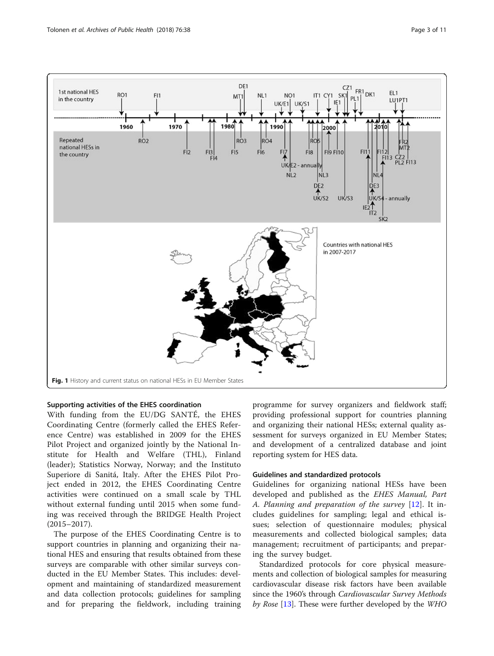<span id="page-2-0"></span>

#### Supporting activities of the EHES coordination

With funding from the EU/DG SANTÉ, the EHES Coordinating Centre (formerly called the EHES Reference Centre) was established in 2009 for the EHES Pilot Project and organized jointly by the National Institute for Health and Welfare (THL), Finland (leader); Statistics Norway, Norway; and the Instituto Superiore di Sanitá, Italy. After the EHES Pilot Project ended in 2012, the EHES Coordinating Centre activities were continued on a small scale by THL without external funding until 2015 when some funding was received through the BRIDGE Health Project (2015–2017).

The purpose of the EHES Coordinating Centre is to support countries in planning and organizing their national HES and ensuring that results obtained from these surveys are comparable with other similar surveys conducted in the EU Member States. This includes: development and maintaining of standardized measurement and data collection protocols; guidelines for sampling and for preparing the fieldwork, including training programme for survey organizers and fieldwork staff; providing professional support for countries planning and organizing their national HESs; external quality assessment for surveys organized in EU Member States; and development of a centralized database and joint reporting system for HES data.

#### Guidelines and standardized protocols

Guidelines for organizing national HESs have been developed and published as the EHES Manual, Part A. Planning and preparation of the survey [[12\]](#page-9-0). It includes guidelines for sampling; legal and ethical issues; selection of questionnaire modules; physical measurements and collected biological samples; data management; recruitment of participants; and preparing the survey budget.

Standardized protocols for core physical measurements and collection of biological samples for measuring cardiovascular disease risk factors have been available since the 1960's through Cardiovascular Survey Methods by Rose [[13](#page-9-0)]. These were further developed by the WHO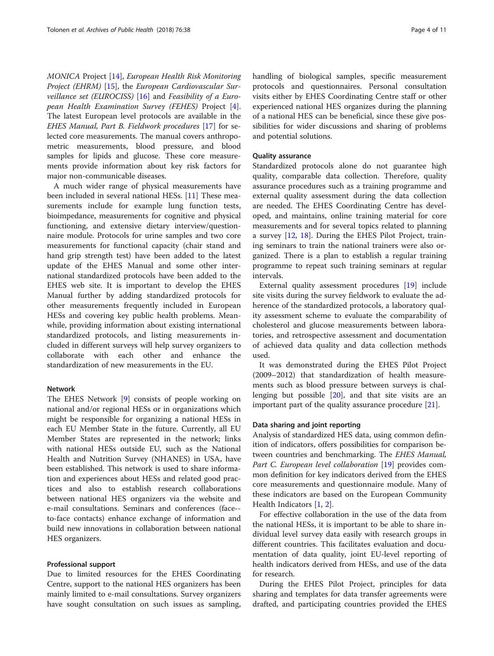MONICA Project [[14](#page-9-0)], European Health Risk Monitoring Project (EHRM) [[15\]](#page-9-0), the European Cardiovascular Sur*veillance set (EUROCISS)* [[16\]](#page-9-0) and *Feasibility of a Euro*pean Health Examination Survey (FEHES) Project [\[4](#page-9-0)]. The latest European level protocols are available in the EHES Manual, Part B. Fieldwork procedures [\[17](#page-9-0)] for selected core measurements. The manual covers anthropometric measurements, blood pressure, and blood samples for lipids and glucose. These core measurements provide information about key risk factors for major non-communicable diseases.

A much wider range of physical measurements have been included in several national HESs. [\[11](#page-9-0)] These measurements include for example lung function tests, bioimpedance, measurements for cognitive and physical functioning, and extensive dietary interview/questionnaire module. Protocols for urine samples and two core measurements for functional capacity (chair stand and hand grip strength test) have been added to the latest update of the EHES Manual and some other international standardized protocols have been added to the EHES web site. It is important to develop the EHES Manual further by adding standardized protocols for other measurements frequently included in European HESs and covering key public health problems. Meanwhile, providing information about existing international standardized protocols, and listing measurements included in different surveys will help survey organizers to collaborate with each other and enhance the standardization of new measurements in the EU.

#### Network

The EHES Network [[9\]](#page-9-0) consists of people working on national and/or regional HESs or in organizations which might be responsible for organizing a national HESs in each EU Member State in the future. Currently, all EU Member States are represented in the network; links with national HESs outside EU, such as the National Health and Nutrition Survey (NHANES) in USA, have been established. This network is used to share information and experiences about HESs and related good practices and also to establish research collaborations between national HES organizers via the website and e-mail consultations. Seminars and conferences (face- to-face contacts) enhance exchange of information and build new innovations in collaboration between national HES organizers.

#### Professional support

Due to limited resources for the EHES Coordinating Centre, support to the national HES organizers has been mainly limited to e-mail consultations. Survey organizers have sought consultation on such issues as sampling, handling of biological samples, specific measurement protocols and questionnaires. Personal consultation visits either by EHES Coordinating Centre staff or other experienced national HES organizes during the planning of a national HES can be beneficial, since these give possibilities for wider discussions and sharing of problems and potential solutions.

#### Quality assurance

Standardized protocols alone do not guarantee high quality, comparable data collection. Therefore, quality assurance procedures such as a training programme and external quality assessment during the data collection are needed. The EHES Coordinating Centre has developed, and maintains, online training material for core measurements and for several topics related to planning a survey [\[12](#page-9-0), [18](#page-9-0)]. During the EHES Pilot Project, training seminars to train the national trainers were also organized. There is a plan to establish a regular training programme to repeat such training seminars at regular intervals.

External quality assessment procedures [\[19\]](#page-9-0) include site visits during the survey fieldwork to evaluate the adherence of the standardized protocols, a laboratory quality assessment scheme to evaluate the comparability of cholesterol and glucose measurements between laboratories, and retrospective assessment and documentation of achieved data quality and data collection methods used.

It was demonstrated during the EHES Pilot Project (2009–2012) that standardization of health measurements such as blood pressure between surveys is challenging but possible [\[20\]](#page-9-0), and that site visits are an important part of the quality assurance procedure [\[21](#page-9-0)].

#### Data sharing and joint reporting

Analysis of standardized HES data, using common definition of indicators, offers possibilities for comparison between countries and benchmarking. The EHES Manual, Part C. European level collaboration [[19\]](#page-9-0) provides common definition for key indicators derived from the EHES core measurements and questionnaire module. Many of these indicators are based on the European Community Health Indicators [\[1](#page-9-0), [2](#page-9-0)].

For effective collaboration in the use of the data from the national HESs, it is important to be able to share individual level survey data easily with research groups in different countries. This facilitates evaluation and documentation of data quality, joint EU-level reporting of health indicators derived from HESs, and use of the data for research.

During the EHES Pilot Project, principles for data sharing and templates for data transfer agreements were drafted, and participating countries provided the EHES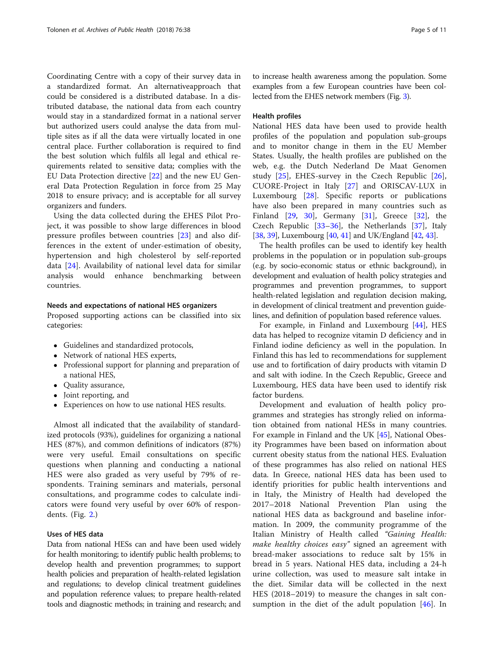Coordinating Centre with a copy of their survey data in a standardized format. An alternativeapproach that could be considered is a distributed database. In a distributed database, the national data from each country would stay in a standardized format in a national server but authorized users could analyse the data from multiple sites as if all the data were virtually located in one central place. Further collaboration is required to find the best solution which fulfils all legal and ethical requirements related to sensitive data; complies with the EU Data Protection directive [[22\]](#page-9-0) and the new EU General Data Protection Regulation in force from 25 May 2018 to ensure privacy; and is acceptable for all survey organizers and funders.

Using the data collected during the EHES Pilot Project, it was possible to show large differences in blood pressure profiles between countries [\[23](#page-9-0)] and also differences in the extent of under-estimation of obesity, hypertension and high cholesterol by self-reported data [[24\]](#page-9-0). Availability of national level data for similar analysis would enhance benchmarking between countries.

#### Needs and expectations of national HES organizers

Proposed supporting actions can be classified into six categories:

- Guidelines and standardized protocols,
- Network of national HES experts,
- Professional support for planning and preparation of a national HES,
- Quality assurance,
- Joint reporting, and
- Experiences on how to use national HES results.

Almost all indicated that the availability of standardized protocols (93%), guidelines for organizing a national HES (87%), and common definitions of indicators (87%) were very useful. Email consultations on specific questions when planning and conducting a national HES were also graded as very useful by 79% of respondents. Training seminars and materials, personal consultations, and programme codes to calculate indicators were found very useful by over 60% of respondents. (Fig. [2](#page-5-0).)

### Uses of HES data

Data from national HESs can and have been used widely for health monitoring; to identify public health problems; to develop health and prevention programmes; to support health policies and preparation of health-related legislation and regulations; to develop clinical treatment guidelines and population reference values; to prepare health-related tools and diagnostic methods; in training and research; and

to increase health awareness among the population. Some examples from a few European countries have been collected from the EHES network members (Fig. [3\)](#page-6-0).

#### Health profiles

National HES data have been used to provide health profiles of the population and population sub-groups and to monitor change in them in the EU Member States. Usually, the health profiles are published on the web, e.g. the Dutch Nederland De Maat Genomen study [\[25](#page-9-0)], EHES-survey in the Czech Republic [\[26](#page-9-0)], CUORE-Project in Italy [[27\]](#page-9-0) and ORISCAV-LUX in Luxembourg [\[28](#page-9-0)]. Specific reports or publications have also been prepared in many countries such as Finland  $[29, 30]$  $[29, 30]$  $[29, 30]$  $[29, 30]$ , Germany  $[31]$  $[31]$ , Greece  $[32]$  $[32]$ , the Czech Republic [\[33](#page-10-0)–[36](#page-10-0)], the Netherlands [\[37](#page-10-0)], Italy [[38](#page-10-0), [39\]](#page-10-0), Luxembourg [[40](#page-10-0), [41](#page-10-0)] and UK/England [\[42,](#page-10-0) [43\]](#page-10-0).

The health profiles can be used to identify key health problems in the population or in population sub-groups (e.g. by socio-economic status or ethnic background), in development and evaluation of health policy strategies and programmes and prevention programmes, to support health-related legislation and regulation decision making, in development of clinical treatment and prevention guidelines, and definition of population based reference values.

For example, in Finland and Luxembourg [\[44](#page-10-0)], HES data has helped to recognize vitamin D deficiency and in Finland iodine deficiency as well in the population. In Finland this has led to recommendations for supplement use and to fortification of dairy products with vitamin D and salt with iodine. In the Czech Republic, Greece and Luxembourg, HES data have been used to identify risk factor burdens.

Development and evaluation of health policy programmes and strategies has strongly relied on information obtained from national HESs in many countries. For example in Finland and the UK [[45](#page-10-0)], National Obesity Programmes have been based on information about current obesity status from the national HES. Evaluation of these programmes has also relied on national HES data. In Greece, national HES data has been used to identify priorities for public health interventions and in Italy, the Ministry of Health had developed the 2017–2018 National Prevention Plan using the national HES data as background and baseline information. In 2009, the community programme of the Italian Ministry of Health called "Gaining Health: make healthy choices easy" signed an agreement with bread-maker associations to reduce salt by 15% in bread in 5 years. National HES data, including a 24-h urine collection, was used to measure salt intake in the diet. Similar data will be collected in the next HES (2018–2019) to measure the changes in salt consumption in the diet of the adult population  $[46]$  $[46]$ . In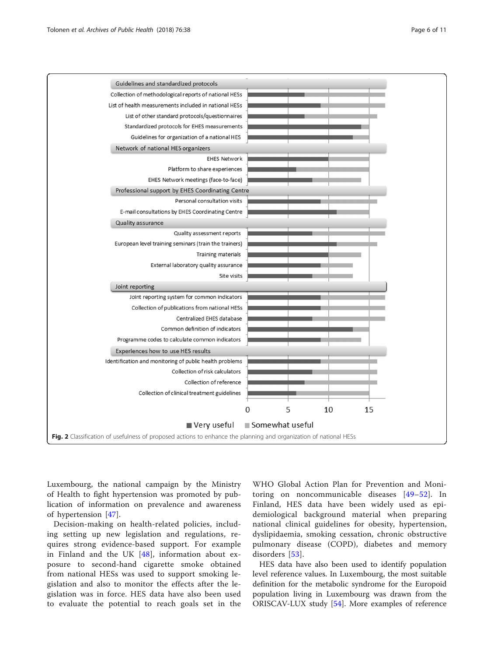<span id="page-5-0"></span>

Luxembourg, the national campaign by the Ministry of Health to fight hypertension was promoted by publication of information on prevalence and awareness of hypertension [\[47](#page-10-0)].

Decision-making on health-related policies, including setting up new legislation and regulations, requires strong evidence-based support. For example in Finland and the UK [[48\]](#page-10-0), information about exposure to second-hand cigarette smoke obtained from national HESs was used to support smoking legislation and also to monitor the effects after the legislation was in force. HES data have also been used to evaluate the potential to reach goals set in the

WHO Global Action Plan for Prevention and Monitoring on noncommunicable diseases [\[49](#page-10-0)–[52\]](#page-10-0). In Finland, HES data have been widely used as epidemiological background material when preparing national clinical guidelines for obesity, hypertension, dyslipidaemia, smoking cessation, chronic obstructive pulmonary disease (COPD), diabetes and memory disorders [[53](#page-10-0)].

HES data have also been used to identify population level reference values. In Luxembourg, the most suitable definition for the metabolic syndrome for the Europoid population living in Luxembourg was drawn from the ORISCAV-LUX study [\[54\]](#page-10-0). More examples of reference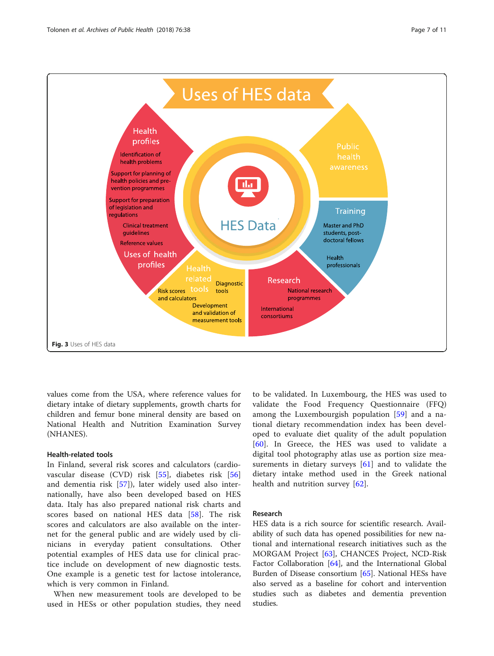<span id="page-6-0"></span>

values come from the USA, where reference values for dietary intake of dietary supplements, growth charts for children and femur bone mineral density are based on National Health and Nutrition Examination Survey (NHANES).

#### Health-related tools

In Finland, several risk scores and calculators (cardiovascular disease (CVD) risk [[55\]](#page-10-0), diabetes risk [\[56](#page-10-0)] and dementia risk [[57\]](#page-10-0)), later widely used also internationally, have also been developed based on HES data. Italy has also prepared national risk charts and scores based on national HES data [[58\]](#page-10-0). The risk scores and calculators are also available on the internet for the general public and are widely used by clinicians in everyday patient consultations. Other potential examples of HES data use for clinical practice include on development of new diagnostic tests. One example is a genetic test for lactose intolerance, which is very common in Finland.

When new measurement tools are developed to be used in HESs or other population studies, they need

to be validated. In Luxembourg, the HES was used to validate the Food Frequency Questionnaire (FFQ) among the Luxembourgish population [[59](#page-10-0)] and a national dietary recommendation index has been developed to evaluate diet quality of the adult population [[60\]](#page-10-0). In Greece, the HES was used to validate a digital tool photography atlas use as portion size measurements in dietary surveys [\[61](#page-10-0)] and to validate the dietary intake method used in the Greek national health and nutrition survey [[62\]](#page-10-0).

#### Research

HES data is a rich source for scientific research. Availability of such data has opened possibilities for new national and international research initiatives such as the MORGAM Project [\[63](#page-10-0)], CHANCES Project, NCD-Risk Factor Collaboration [\[64\]](#page-10-0), and the International Global Burden of Disease consortium [\[65](#page-10-0)]. National HESs have also served as a baseline for cohort and intervention studies such as diabetes and dementia prevention studies.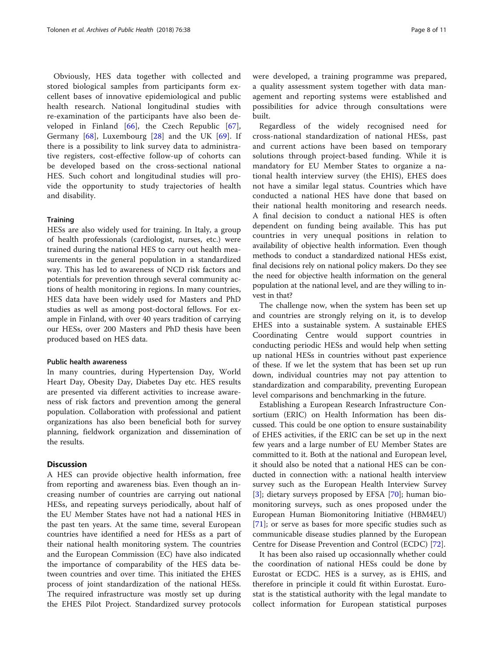Obviously, HES data together with collected and stored biological samples from participants form excellent bases of innovative epidemiological and public health research. National longitudinal studies with re-examination of the participants have also been developed in Finland [[66\]](#page-10-0), the Czech Republic [\[67](#page-10-0)], Germany [\[68](#page-10-0)], Luxembourg [[28](#page-9-0)] and the UK [[69\]](#page-10-0). If there is a possibility to link survey data to administrative registers, cost-effective follow-up of cohorts can be developed based on the cross-sectional national HES. Such cohort and longitudinal studies will provide the opportunity to study trajectories of health and disability.

#### **Training**

HESs are also widely used for training. In Italy, a group of health professionals (cardiologist, nurses, etc.) were trained during the national HES to carry out health measurements in the general population in a standardized way. This has led to awareness of NCD risk factors and potentials for prevention through several community actions of health monitoring in regions. In many countries, HES data have been widely used for Masters and PhD studies as well as among post-doctoral fellows. For example in Finland, with over 40 years tradition of carrying our HESs, over 200 Masters and PhD thesis have been produced based on HES data.

#### Public health awareness

In many countries, during Hypertension Day, World Heart Day, Obesity Day, Diabetes Day etc. HES results are presented via different activities to increase awareness of risk factors and prevention among the general population. Collaboration with professional and patient organizations has also been beneficial both for survey planning, fieldwork organization and dissemination of the results.

#### **Discussion**

A HES can provide objective health information, free from reporting and awareness bias. Even though an increasing number of countries are carrying out national HESs, and repeating surveys periodically, about half of the EU Member States have not had a national HES in the past ten years. At the same time, several European countries have identified a need for HESs as a part of their national health monitoring system. The countries and the European Commission (EC) have also indicated the importance of comparability of the HES data between countries and over time. This initiated the EHES process of joint standardization of the national HESs. The required infrastructure was mostly set up during the EHES Pilot Project. Standardized survey protocols were developed, a training programme was prepared, a quality assessment system together with data management and reporting systems were established and possibilities for advice through consultations were built.

Regardless of the widely recognised need for cross-national standardization of national HESs, past and current actions have been based on temporary solutions through project-based funding. While it is mandatory for EU Member States to organize a national health interview survey (the EHIS), EHES does not have a similar legal status. Countries which have conducted a national HES have done that based on their national health monitoring and research needs. A final decision to conduct a national HES is often dependent on funding being available. This has put countries in very unequal positions in relation to availability of objective health information. Even though methods to conduct a standardized national HESs exist, final decisions rely on national policy makers. Do they see the need for objective health information on the general population at the national level, and are they willing to invest in that?

The challenge now, when the system has been set up and countries are strongly relying on it, is to develop EHES into a sustainable system. A sustainable EHES Coordinating Centre would support countries in conducting periodic HESs and would help when setting up national HESs in countries without past experience of these. If we let the system that has been set up run down, individual countries may not pay attention to standardization and comparability, preventing European level comparisons and benchmarking in the future.

Establishing a European Research Infrastructure Consortium (ERIC) on Health Information has been discussed. This could be one option to ensure sustainability of EHES activities, if the ERIC can be set up in the next few years and a large number of EU Member States are committed to it. Both at the national and European level, it should also be noted that a national HES can be conducted in connection with: a national health interview survey such as the European Health Interview Survey [[3\]](#page-9-0); dietary surveys proposed by EFSA [\[70\]](#page-10-0); human biomonitoring surveys, such as ones proposed under the European Human Biomonitoring Initiative (HBM4EU) [[71\]](#page-10-0); or serve as bases for more specific studies such as communicable disease studies planned by the European Centre for Disease Prevention and Control (ECDC) [\[72\]](#page-10-0).

It has been also raised up occasionnally whether could the coordination of national HESs could be done by Eurostat or ECDC. HES is a survey, as is EHIS, and therefore in principle it could fit within Eurostat. Eurostat is the statistical authority with the legal mandate to collect information for European statistical purposes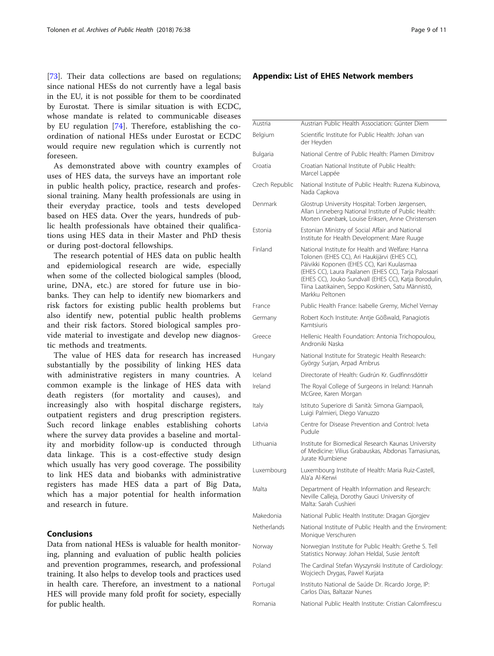<span id="page-8-0"></span>[[73\]](#page-10-0). Their data collections are based on regulations; since national HESs do not currently have a legal basis in the EU, it is not possible for them to be coordinated by Eurostat. There is similar situation is with ECDC, whose mandate is related to communicable diseases by EU regulation [\[74](#page-10-0)]. Therefore, establishing the coordination of national HESs under Eurostat or ECDC would require new regulation which is currently not foreseen.

As demonstrated above with country examples of uses of HES data, the surveys have an important role in public health policy, practice, research and professional training. Many health professionals are using in their everyday practice, tools and tests developed based on HES data. Over the years, hundreds of public health professionals have obtained their qualifications using HES data in their Master and PhD thesis or during post-doctoral fellowships.

The research potential of HES data on public health and epidemiological research are wide, especially when some of the collected biological samples (blood, urine, DNA, etc.) are stored for future use in biobanks. They can help to identify new biomarkers and risk factors for existing public health problems but also identify new, potential public health problems and their risk factors. Stored biological samples provide material to investigate and develop new diagnostic methods and treatments.

The value of HES data for research has increased substantially by the possibility of linking HES data with administrative registers in many countries. A common example is the linkage of HES data with death registers (for mortality and causes), and increasingly also with hospital discharge registers, outpatient registers and drug prescription registers. Such record linkage enables establishing cohorts where the survey data provides a baseline and mortality and morbidity follow-up is conducted through data linkage. This is a cost-effective study design which usually has very good coverage. The possibility to link HES data and biobanks with administrative registers has made HES data a part of Big Data, which has a major potential for health information and research in future.

## Conclusions

Data from national HESs is valuable for health monitoring, planning and evaluation of public health policies and prevention programmes, research, and professional training. It also helps to develop tools and practices used in health care. Therefore, an investment to a national HES will provide many fold profit for society, especially for public health.

#### Appendix: List of EHES Network members

| Austrian Public Health Association: Günter Diem<br>Austria<br>Scientific Institute for Public Health: Johan van<br>Belgium<br>der Heyden<br>National Centre of Public Health: Plamen Dimitrov<br>Bulgaria<br>Croatian National Institute of Public Health:<br>Croatia<br>Marcel Lappée<br>National Institute of Public Health: Ruzena Kubinova.<br>Czech Republic<br>Nada Capkova<br>Denmark<br>Glostrup University Hospital: Torben Jørgensen,<br>Allan Linneberg National Institute of Public Health:<br>Morten Grønbæk, Louise Eriksen, Anne Christensen<br>Estonia<br>Estonian Ministry of Social Affair and National<br>Institute for Health Development: Mare Ruuge<br>Finland<br>National Institute for Health and Welfare: Hanna<br>Tolonen (EHES CC), Ari Haukijärvi (EHES CC),<br>Päivikki Koponen (EHES CC), Kari Kuulasmaa<br>(EHES CC), Laura Paalanen (EHES CC), Tarja Palosaari<br>(EHES CC), Jouko Sundvall (EHES CC), Katja Borodulin,<br>Tiina Laatikainen, Seppo Koskinen, Satu Männistö,<br>Markku Peltonen |
|---------------------------------------------------------------------------------------------------------------------------------------------------------------------------------------------------------------------------------------------------------------------------------------------------------------------------------------------------------------------------------------------------------------------------------------------------------------------------------------------------------------------------------------------------------------------------------------------------------------------------------------------------------------------------------------------------------------------------------------------------------------------------------------------------------------------------------------------------------------------------------------------------------------------------------------------------------------------------------------------------------------------------------|
|                                                                                                                                                                                                                                                                                                                                                                                                                                                                                                                                                                                                                                                                                                                                                                                                                                                                                                                                                                                                                                 |
|                                                                                                                                                                                                                                                                                                                                                                                                                                                                                                                                                                                                                                                                                                                                                                                                                                                                                                                                                                                                                                 |
|                                                                                                                                                                                                                                                                                                                                                                                                                                                                                                                                                                                                                                                                                                                                                                                                                                                                                                                                                                                                                                 |
|                                                                                                                                                                                                                                                                                                                                                                                                                                                                                                                                                                                                                                                                                                                                                                                                                                                                                                                                                                                                                                 |
|                                                                                                                                                                                                                                                                                                                                                                                                                                                                                                                                                                                                                                                                                                                                                                                                                                                                                                                                                                                                                                 |
|                                                                                                                                                                                                                                                                                                                                                                                                                                                                                                                                                                                                                                                                                                                                                                                                                                                                                                                                                                                                                                 |
|                                                                                                                                                                                                                                                                                                                                                                                                                                                                                                                                                                                                                                                                                                                                                                                                                                                                                                                                                                                                                                 |
|                                                                                                                                                                                                                                                                                                                                                                                                                                                                                                                                                                                                                                                                                                                                                                                                                                                                                                                                                                                                                                 |
| France<br>Public Health France: Isabelle Gremy, Michel Vernay                                                                                                                                                                                                                                                                                                                                                                                                                                                                                                                                                                                                                                                                                                                                                                                                                                                                                                                                                                   |
| Robert Koch Institute: Antje Gößwald, Panagiotis<br>Germany<br>Kamtsiuris                                                                                                                                                                                                                                                                                                                                                                                                                                                                                                                                                                                                                                                                                                                                                                                                                                                                                                                                                       |
| Greece<br>Hellenic Health Foundation: Antonia Trichopoulou,<br>Androniki Naska                                                                                                                                                                                                                                                                                                                                                                                                                                                                                                                                                                                                                                                                                                                                                                                                                                                                                                                                                  |
| National Institute for Strategic Health Research:<br>Hungary<br>György Surjan, Arpad Ambrus                                                                                                                                                                                                                                                                                                                                                                                                                                                                                                                                                                                                                                                                                                                                                                                                                                                                                                                                     |
| Iceland<br>Directorate of Health: Gudrún Kr. Gudfinnsdóttir                                                                                                                                                                                                                                                                                                                                                                                                                                                                                                                                                                                                                                                                                                                                                                                                                                                                                                                                                                     |
| Ireland<br>The Royal College of Surgeons in Ireland: Hannah<br>McGree, Karen Morgan                                                                                                                                                                                                                                                                                                                                                                                                                                                                                                                                                                                                                                                                                                                                                                                                                                                                                                                                             |
| Istituto Superiore di Sanità: Simona Giampaoli,<br>Italy<br>Luigi Palmieri, Diego Vanuzzo                                                                                                                                                                                                                                                                                                                                                                                                                                                                                                                                                                                                                                                                                                                                                                                                                                                                                                                                       |
| Centre for Disease Prevention and Control: Iveta<br>Latvia<br>Pudule                                                                                                                                                                                                                                                                                                                                                                                                                                                                                                                                                                                                                                                                                                                                                                                                                                                                                                                                                            |
| Lithuania<br>Institute for Biomedical Research Kaunas University<br>of Medicine: Vilius Grabauskas, Abdonas Tamasiunas,<br>Jurate Klumbiene                                                                                                                                                                                                                                                                                                                                                                                                                                                                                                                                                                                                                                                                                                                                                                                                                                                                                     |
| Luxembourg<br>Luxembourg Institute of Health: Maria Ruiz-Castell,<br>Ala'a Al-Kerwi                                                                                                                                                                                                                                                                                                                                                                                                                                                                                                                                                                                                                                                                                                                                                                                                                                                                                                                                             |
| Malta<br>Department of Health Information and Research:<br>Neville Calleja, Dorothy Gauci University of<br>Malta: Sarah Cushieri                                                                                                                                                                                                                                                                                                                                                                                                                                                                                                                                                                                                                                                                                                                                                                                                                                                                                                |
| Makedonia<br>National Public Health Institute: Dragan Gjorgjev                                                                                                                                                                                                                                                                                                                                                                                                                                                                                                                                                                                                                                                                                                                                                                                                                                                                                                                                                                  |
| Netherlands<br>National Institute of Public Health and the Enviroment:<br>Monique Verschuren                                                                                                                                                                                                                                                                                                                                                                                                                                                                                                                                                                                                                                                                                                                                                                                                                                                                                                                                    |
| Norwegian Institute for Public Health: Grethe S. Tell<br>Norway<br>Statistics Norway: Johan Heldal, Susie Jentoft                                                                                                                                                                                                                                                                                                                                                                                                                                                                                                                                                                                                                                                                                                                                                                                                                                                                                                               |
| Poland<br>The Cardinal Stefan Wyszynski Institute of Cardiology:<br>Wojciech Drygas, Pawel Kurjata                                                                                                                                                                                                                                                                                                                                                                                                                                                                                                                                                                                                                                                                                                                                                                                                                                                                                                                              |
| Instituto National de Saúde Dr. Ricardo Jorge, IP:<br>Portugal<br>Carlos Dias, Baltazar Nunes                                                                                                                                                                                                                                                                                                                                                                                                                                                                                                                                                                                                                                                                                                                                                                                                                                                                                                                                   |
| Romania<br>National Public Health Institute: Cristian Calomfirescu                                                                                                                                                                                                                                                                                                                                                                                                                                                                                                                                                                                                                                                                                                                                                                                                                                                                                                                                                              |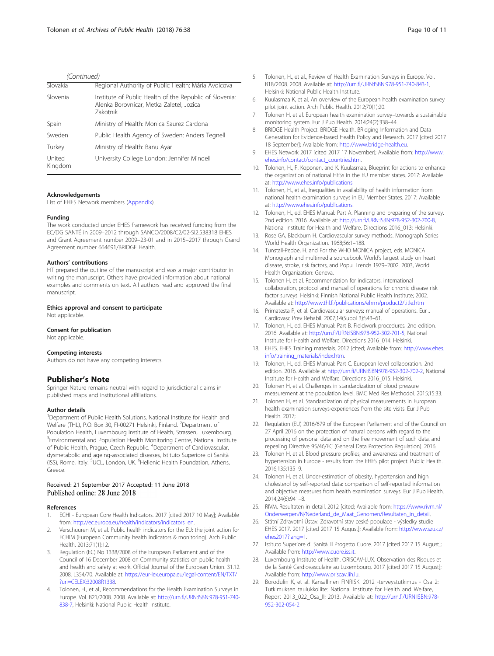#### (Continued)

<span id="page-9-0"></span>

| Slovakia          | Regional Authority of Public Health: Mária Avdicova                                                                    |
|-------------------|------------------------------------------------------------------------------------------------------------------------|
| Slovenia          | Institute of Public Health of the Republic of Slovenia:<br>Alenka Borovnicar, Metka Zaletel, Jozica<br><b>Zakotnik</b> |
| Spain             | Ministry of Health: Monica Saurez Cardona                                                                              |
| Sweden            | Public Health Agency of Sweden: Anders Tegnell                                                                         |
| Turkey            | Ministry of Health: Banu Ayar                                                                                          |
| United<br>Kingdom | University College London: Jennifer Mindell                                                                            |

#### Acknowledgements

List of EHES Network members [\(Appendix](#page-8-0)).

#### Funding

The work conducted under EHES framework has received funding from the EC/DG SANTÉ in 2009–2012 through SANCO/2008/C2/02-SI2.538318 EHES and Grant Agreement number 2009–23-01 and in 2015–2017 through Grand Agreement number 664691/BRIDGE Health.

#### Authors' contributions

HT prepared the outline of the manuscript and was a major contributor in writing the manuscript. Others have provided information about national examples and comments on text. All authors read and approved the final manuscript.

#### Ethics approval and consent to participate

Not applicable.

#### Consent for publication

Not applicable.

#### Competing interests

Authors do not have any competing interests.

#### Publisher's Note

Springer Nature remains neutral with regard to jurisdictional claims in published maps and institutional affiliations.

#### Author details

<sup>1</sup>Department of Public Health Solutions, National Institute for Health and Welfare (THL), P.O. Box 30, FI-00271 Helsinki, Finland. <sup>2</sup>Department of Population Health, Luxembourg Institute of Health, Strassen, Luxembourg. <sup>3</sup> Environmental and Population Health Monitoring Centre, National Institute of Public Health, Prague, Czech Republic. <sup>4</sup>Department of Cardiovascular, dysmetabolic and ageing-associated diseases, Istituto Superiore di Sanità (ISS), Rome, Italy. <sup>5</sup>UCL, London, UK. <sup>6</sup>Hellenic Health Foundation, Athens, Greece.

# Received: 21 September 2017 Accepted: 11 June 2018

#### References

- 1. ECHI European Core Health Indicators. 2017 [cited 2017 10 May]; Available from: [http://ec.europa.eu/health/indicators/indicators\\_en.](http://ec.europa.eu/health/indicators/indicators_en)
- Verschuuren M, et al. Public health indicators for the EU: the joint action for ECHIM (European Community health indicators & monitoring). Arch Public Health. 2013;71(1):12.
- 3. Regulation (EC) No 1338/2008 of the European Parliament and of the Council of 16 December 2008 on Community statistics on public health and health and safety at work. Official Journal of the European Union. 31.12. 2008. L354/70. Available at: [https://eur-lex.europa.eu/legal-content/EN/TXT/](https://eur-lex.europa.eu/legal-content/EN/TXT/?uri=CELEX:32008R1338) [?uri=CELEX:32008R1338.](https://eur-lex.europa.eu/legal-content/EN/TXT/?uri=CELEX:32008R1338)
- 4. Tolonen, H., et al., Recommendations for the Health Examination Surveys in Europe. Vol. B21/2008. 2008. Available at: [http://urn.fi/URN:ISBN:978-951-740-](http://urn.fi/URN:ISBN:978-951-740-838-7) [838-7](http://urn.fi/URN:ISBN:978-951-740-838-7), Helsinki: National Public Health Institute.
- 5. Tolonen, H., et al., Review of Health Examination Surveys in Europe. Vol. B18/2008. 2008. Available at: [http://urn.fi/URN:ISBN:978-951-740-843-1,](http://urn.fi/URN:ISBN:978-951-740-843-1) Helsinki: National Public Health Institute.
- 6. Kuulasmaa K, et al. An overview of the European health examination survey pilot joint action. Arch Public Health. 2012;70(1):20.
- 7. Tolonen H, et al. European health examination survey–towards a sustainable monitoring system. Eur J Pub Health. 2014;24(2):338–44.
- 8. BRIDGE Health Project. BRIDGE Health. BRidging Information and Data Generation for Evidence-based Health Policy and Research. 2017 [cited 2017 18 September]; Available from: [http://www.bridge-health.eu.](http://www.bridge-health.eu)
- 9. EHES Network 2017 [cited 2017 17 November]; Available from: [http://www.](http://www.ehes.info/contact/contact_countries.htm) [ehes.info/contact/contact\\_countries.htm](http://www.ehes.info/contact/contact_countries.htm).
- 10. Tolonen, H., P. Koponen, and K. Kuulasmaa, Blueprint for actions to enhance the organization of national HESs in the EU member states. 2017: Available at: <http://www.ehes.info/publications>.
- 11. Tolonen, H., et al., Inequalities in availability of health information from national health examination surveys in EU Member States. 2017: Available at: <http://www.ehes.info/publications>.
- 12. Tolonen, H., ed. EHES Manual: Part A. Planning and preparing of the survey. 2nd edition. 2016. Available at: <http://urn.fi/URN:ISBN:978-952-302-700-8>, National Institute for Health and Welfare. Directions 2016\_013: Helsinki.
- 13. Rose GA, Blackburn H. Cardiovascular survey methods. Monograph Series World Health Organization. 1968;56:1–188.
- 14. Tunstall-Pedoe, H. and For the WHO MONICA project, eds. MONICA Monograph and multimedia sourcebook. World's largest study on heart disease, stroke, risk factors, and Popul Trends 1979–2002. 2003, World Health Organization: Geneva.
- 15. Tolonen H, et al. Recommendation for indicators, international collaboration, protocol and manual of operations for chronic disease risk factor surveys. Helsinki: Finnish National Public Health Institute; 2002. Available at: <http://www.thl.fi/publications/ehrm/product2/title.htm>
- 16. Primatesta P, et al. Cardiovascular surveys: manual of operations. Eur J Cardiovasc Prev Rehabil. 2007;14(Suppl 3):S43–61.
- 17. Tolonen, H., ed. EHES Manual: Part B. Fieldwork procedures. 2nd edition. 2016. Available at: [http://urn.fi/URN:ISBN:978-952-302-701-5,](http://urn.fi/URN:ISBN:978-952-302-701-5) National Institute for Health and Welfare. Directions 2016\_014: Helsinki.
- 18. EHES. EHES Training materials. 2012 [cited; Available from: [http://www.ehes.](http://www.ehes.info/training_materials/index.htm) [info/training\\_materials/index.htm.](http://www.ehes.info/training_materials/index.htm)
- 19. Tolonen, H., ed. EHES Manual: Part C. European level collaboration. 2nd edition. 2016. Available at <http://urn.fi/URN:ISBN:978-952-302-702-2>, National Institute for Health and Welfare. Directions 2016\_015: Helsinki.
- 20. Tolonen H, et al. Challenges in standardization of blood pressure measurement at the population level. BMC Med Res Methodol. 2015;15:33.
- 21. Tolonen H, et al. Standardization of physical measurements in European health examination surveys-experiences from the site visits. Eur J Pub Health. 2017;
- 22. Regulation (EU) 2016/679 of the European Parliament and of the Council on 27 April 2016 on the protection of natural persons with regard to the processing of personal data and on the free movement of such data, and repealing Directive 95/46/EC (General Data Protection Regulation). 2016.
- 23. Tolonen H, et al. Blood pressure profiles, and awareness and treatment of hypertension in Europe - results from the EHES pilot project. Public Health. 2016;135:135–9.
- 24. Tolonen H, et al. Under-estimation of obesity, hypertension and high cholesterol by self-reported data: comparison of self-reported information and objective measures from health examination surveys. Eur J Pub Health. 2014;24(6):941–8.
- 25. RIVM. Resultaten in detail. 2012 [cited; Available from: [https://www.rivm.nl/](https://www.rivm.nl/Onderwerpen/N/Nederland_de_Maat_Genomen/Resultaten_in_detail) [Onderwerpen/N/Nederland\\_de\\_Maat\\_Genomen/Resultaten\\_in\\_detail](https://www.rivm.nl/Onderwerpen/N/Nederland_de_Maat_Genomen/Resultaten_in_detail).
- 26. Státní Zdravotní Ústav. Zdravotní stav ceské populace výsledky studie EHES 2017. 2017 [cited 2017 15 August]; Available from: [http://www.szu.cz/](http://www.szu.cz/ehes2017?lang=1) [ehes2017?lang=1](http://www.szu.cz/ehes2017?lang=1).
- 27. Istituto Superiore di Sanità. Il Progetto Cuore. 2017 [cited 2017 15 August]; Available from: <http://www.cuore.iss.it>.
- 28. Luxembourg Institute of Health. ORISCAV-LUX. Observation des Risques et de la Santé Cardiovasculaire au Luxembourg. 2017 [cited 2017 15 August]; Available from: <http://www.oriscav.lih.lu>.
- 29. Borodulin K, et al. Kansallinen FINRISKI 2012 -terveystutkimus Osa 2: Tutkimuksen taulukkoliite: National Institute for Health and Welfare, Report 2013\_022\_Osa\_II; 2013. Available at: [http://urn.fi/URN:ISBN:978-](http://urn.fi/URN:ISBN:978-952-302-054-2) [952-302-054-2](http://urn.fi/URN:ISBN:978-952-302-054-2)